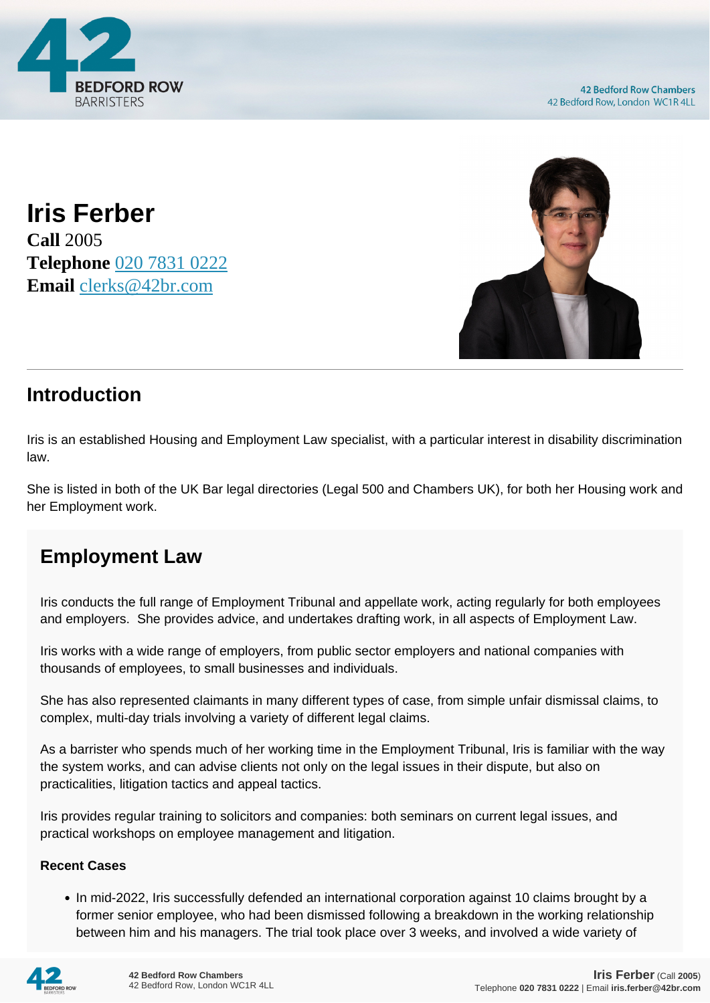

**Iris Ferber Call** 2005 **Telephone** [020 7831 0222](https://pdf.codeshore.co/_42br/tel:020 7831 0222) **Email** [clerks@42br.com](mailto:clerks@42br.com)



## **Introduction**

Iris is an established Housing and Employment Law specialist, with a particular interest in disability discrimination law.

She is listed in both of the UK Bar legal directories (Legal 500 and Chambers UK), for both her Housing work and her Employment work.

## **Employment Law**

Iris conducts the full range of Employment Tribunal and appellate work, acting regularly for both employees and employers. She provides advice, and undertakes drafting work, in all aspects of Employment Law.

Iris works with a wide range of employers, from public sector employers and national companies with thousands of employees, to small businesses and individuals.

She has also represented claimants in many different types of case, from simple unfair dismissal claims, to complex, multi-day trials involving a variety of different legal claims.

As a barrister who spends much of her working time in the Employment Tribunal, Iris is familiar with the way the system works, and can advise clients not only on the legal issues in their dispute, but also on practicalities, litigation tactics and appeal tactics.

Iris provides regular training to solicitors and companies: both seminars on current legal issues, and practical workshops on employee management and litigation.

## **Recent Cases**

• In mid-2022, Iris successfully defended an international corporation against 10 claims brought by a former senior employee, who had been dismissed following a breakdown in the working relationship between him and his managers. The trial took place over 3 weeks, and involved a wide variety of